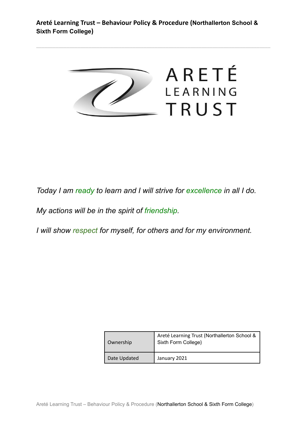**Areté Learning Trust – Behaviour Policy & Procedure (Northallerton School & Sixth Form College)**



\_\_\_\_\_\_\_\_\_\_\_\_\_\_\_\_\_\_\_\_\_\_\_\_\_\_\_\_\_\_\_\_\_\_\_\_\_\_\_\_\_\_\_\_\_\_\_\_\_\_\_\_\_\_\_\_\_\_\_\_\_\_\_\_\_\_\_\_\_\_\_\_\_\_\_\_\_\_\_\_\_\_\_\_\_

*Today I am ready to learn and I will strive for excellence in all I do.*

*My actions will be in the spirit of friendship.*

*I will show respect for myself, for others and for my environment.*

| Ownership    | Areté Learning Trust (Northallerton School &<br>Sixth Form College) |
|--------------|---------------------------------------------------------------------|
| Date Updated | January 2021                                                        |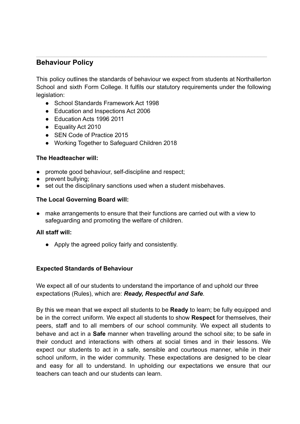# **Behaviour Policy**

This policy outlines the standards of behaviour we expect from students at Northallerton School and sixth Form College. It fulfils our statutory requirements under the following legislation:

- School Standards Framework Act 1998
- Education and Inspections Act 2006
- Education Acts 1996 2011
- Equality Act 2010
- SEN Code of Practice 2015
- Working Together to Safeguard Children 2018

## **The Headteacher will:**

- promote good behaviour, self-discipline and respect;
- **●** prevent bullying;
- set out the disciplinary sanctions used when a student misbehaves.

## **The Local Governing Board will:**

make arrangements to ensure that their functions are carried out with a view to safeguarding and promoting the welfare of children.

#### **All staff will:**

● Apply the agreed policy fairly and consistently.

## **Expected Standards of Behaviour**

We expect all of our students to understand the importance of and uphold our three expectations (Rules), which are: *Ready, Respectful and Safe*.

By this we mean that we expect all students to be **Ready** to learn; be fully equipped and be in the correct uniform. We expect all students to show **Respect** for themselves, their peers, staff and to all members of our school community. We expect all students to behave and act in a **Safe** manner when travelling around the school site; to be safe in their conduct and interactions with others at social times and in their lessons. We expect our students to act in a safe, sensible and courteous manner, while in their school uniform, in the wider community. These expectations are designed to be clear and easy for all to understand. In upholding our expectations we ensure that our teachers can teach and our students can learn.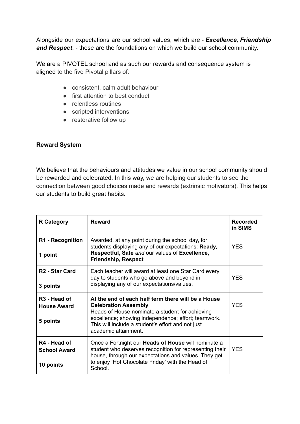Alongside our expectations are our school values, which are - *Excellence, Friendship and Respect*. - these are the foundations on which we build our school community.

We are a PIVOTEL school and as such our rewards and consequence system is aligned to the five Pivotal pillars of:

- consistent, calm adult behaviour
- first attention to best conduct
- relentless routines
- scripted interventions
- restorative follow up

## **Reward System**

We believe that the behaviours and attitudes we value in our school community should be rewarded and celebrated. In this way, we are helping our students to see the connection between good choices made and rewards (extrinsic motivators). This helps our students to build great habits.

| <b>R</b> Category                                          | <b>Reward</b>                                                                                                                                                                                                                                                            | <b>Recorded</b><br>in SIMS |
|------------------------------------------------------------|--------------------------------------------------------------------------------------------------------------------------------------------------------------------------------------------------------------------------------------------------------------------------|----------------------------|
| R1 - Recognition<br>1 point                                | Awarded, at any point during the school day, for<br>students displaying any of our expectations: Ready,<br>Respectful, Safe and our values of Excellence,<br><b>Friendship, Respect</b>                                                                                  | <b>YES</b>                 |
| R <sub>2</sub> - Star Card<br>3 points                     | Each teacher will award at least one Star Card every<br>day to students who go above and beyond in<br>displaying any of our expectations/values.                                                                                                                         | <b>YES</b>                 |
| R <sub>3</sub> - Head of<br><b>House Award</b><br>5 points | At the end of each half term there will be a House<br><b>Celebration Assembly</b><br>Heads of House nominate a student for achieving<br>excellence; showing independence; effort; teamwork.<br>This will include a student's effort and not just<br>academic attainment. | <b>YES</b>                 |
| R4 - Head of<br><b>School Award</b><br>10 points           | Once a Fortnight our <b>Heads of House</b> will nominate a<br>student who deserves recognition for representing their<br>house, through our expectations and values. They get<br>to enjoy 'Hot Chocolate Friday' with the Head of<br>School.                             | <b>YES</b>                 |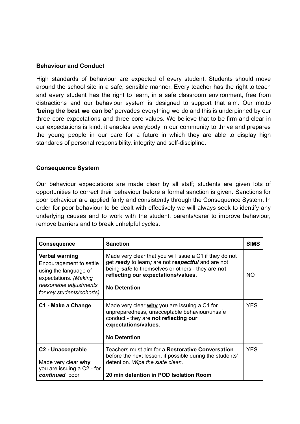#### **Behaviour and Conduct**

High standards of behaviour are expected of every student. Students should move around the school site in a safe, sensible manner. Every teacher has the right to teach and every student has the right to learn, in a safe classroom environment, free from distractions and our behaviour system is designed to support that aim. Our motto *'***being the best we can be***'* pervades everything we do and this is underpinned by our three core expectations and three core values. We believe that to be firm and clear in our expectations is kind: it enables everybody in our community to thrive and prepares the young people in our care for a future in which they are able to display high standards of personal responsibility, integrity and self-discipline.

## **Consequence System**

Our behaviour expectations are made clear by all staff; students are given lots of opportunities to correct their behaviour before a formal sanction is given. Sanctions for poor behaviour are applied fairly and consistently through the Consequence System. In order for poor behaviour to be dealt with effectively we will always seek to identify any underlying causes and to work with the student, parents/carer to improve behaviour, remove barriers and to break unhelpful cycles.

| <b>Consequence</b>                                                                                                                                 | <b>Sanction</b>                                                                                                                                                                                                                  | <b>SIMS</b> |
|----------------------------------------------------------------------------------------------------------------------------------------------------|----------------------------------------------------------------------------------------------------------------------------------------------------------------------------------------------------------------------------------|-------------|
| Verbal warning<br>Encouragement to settle<br>using the language of<br>expectations. (Making<br>reasonable adjustments<br>for key students/cohorts) | Made very clear that you will issue a C1 if they do not<br>get ready to learn; are not respectful and are not<br>being safe to themselves or others - they are not<br>reflecting our expectations/values.<br><b>No Detention</b> | <b>NO</b>   |
| C1 - Make a Change                                                                                                                                 | Made very clear why you are issuing a C1 for<br>unpreparedness, unacceptable behaviour/unsafe<br>conduct - they are not reflecting our<br>expectations/values.<br><b>No Detention</b>                                            | <b>YES</b>  |
| C <sub>2</sub> - Unacceptable<br>Made very clear why<br>you are issuing a C2 - for<br>continued poor                                               | Teachers must aim for a Restorative Conversation<br>before the next lesson, if possible during the students'<br>detention. Wipe the slate clean.<br>20 min detention in POD Isolation Room                                       | <b>YFS</b>  |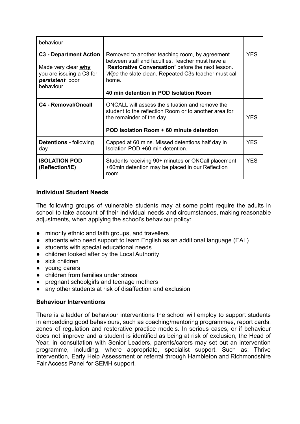| behaviour                                                                                                        |                                                                                                                                                                                                                                                                           |            |
|------------------------------------------------------------------------------------------------------------------|---------------------------------------------------------------------------------------------------------------------------------------------------------------------------------------------------------------------------------------------------------------------------|------------|
| <b>C3 - Department Action</b><br>Made very clear why<br>you are issuing a C3 for<br>persistent poor<br>behaviour | Removed to another teaching room, by agreement<br>between staff and faculties. Teacher must have a<br><b>Restorative Conversation'</b> before the next lesson.<br>Wipe the slate clean. Repeated C3s teacher must call<br>home.<br>40 min detention in POD Isolation Room | YES.       |
| <b>C4 - Removal/Oncall</b>                                                                                       | ONCALL will assess the situation and remove the<br>student to the reflection Room or to another area for<br>the remainder of the day<br>POD Isolation Room + 60 minute detention                                                                                          | <b>YES</b> |
| <b>Detentions</b> - following<br>day                                                                             | Capped at 60 mins. Missed detentions half day in<br>Isolation POD +60 min detention.                                                                                                                                                                                      | <b>YES</b> |
| <b>ISOLATION POD</b><br>(Reflection/IE)                                                                          | Students receiving 90+ minutes or ONCall placement<br>+60min detention may be placed in our Reflection<br>room                                                                                                                                                            | <b>YES</b> |

## **Individual Student Needs**

The following groups of vulnerable students may at some point require the adults in school to take account of their individual needs and circumstances, making reasonable adjustments, when applying the school's behaviour policy:

- minority ethnic and faith groups, and travellers
- students who need support to learn English as an additional language (EAL)
- students with special educational needs
- children looked after by the Local Authority
- sick children
- young carers
- children from families under stress
- pregnant schoolgirls and teenage mothers
- any other students at risk of disaffection and exclusion

#### **Behaviour Interventions**

There is a ladder of behaviour interventions the school will employ to support students in embedding good behaviours, such as coaching/mentoring programmes, report cards, zones of regulation and restorative practice models. In serious cases, or if behaviour does not improve and a student is identified as being at risk of exclusion, the Head of Year, in consultation with Senior Leaders, parents/carers may set out an intervention programme, including, where appropriate, specialist support. Such as: Thrive Intervention, Early Help Assessment or referral through Hambleton and Richmondshire Fair Access Panel for SEMH support.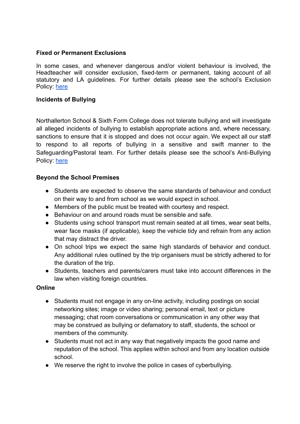## **Fixed or Permanent Exclusions**

In some cases, and whenever dangerous and/or violent behaviour is involved, the Headteacher will consider exclusion, fixed-term or permanent, taking account of all statutory and LA guidelines. For further details please see the school's Exclusion Policy: [here](https://docs.google.com/document/d/12tR9ib72sgHmL2es6bf1ag0AVtvreJJYpY-iyFsOwp4/edit#)

#### **Incidents of Bullying**

Northallerton School & Sixth Form College does not tolerate bullying and will investigate all alleged incidents of bullying to establish appropriate actions and, where necessary, sanctions to ensure that it is stopped and does not occur again. We expect all our staff to respond to all reports of bullying in a sensitive and swift manner to the Safeguarding/Pastoral team. For further details please see the school's Anti-Bullying Policy: [here](https://docs.google.com/document/d/1C5EQdk6PGv_piTkHSYfsktaw6Xras-P9/edit)

## **Beyond the School Premises**

- Students are expected to observe the same standards of behaviour and conduct on their way to and from school as we would expect in school.
- Members of the public must be treated with courtesy and respect.
- Behaviour on and around roads must be sensible and safe.
- Students using school transport must remain seated at all times, wear seat belts, wear face masks (if applicable), keep the vehicle tidy and refrain from any action that may distract the driver.
- On school trips we expect the same high standards of behavior and conduct. Any additional rules outlined by the trip organisers must be strictly adhered to for the duration of the trip.
- Students, teachers and parents/carers must take into account differences in the law when visiting foreign countries.

#### **Online**

- Students must not engage in any on-line activity, including postings on social networking sites; image or video sharing; personal email, text or picture messaging; chat room conversations or communication in any other way that may be construed as bullying or defamatory to staff, students, the school or members of the community.
- Students must not act in any way that negatively impacts the good name and reputation of the school. This applies within school and from any location outside school.
- We reserve the right to involve the police in cases of cyberbullying.